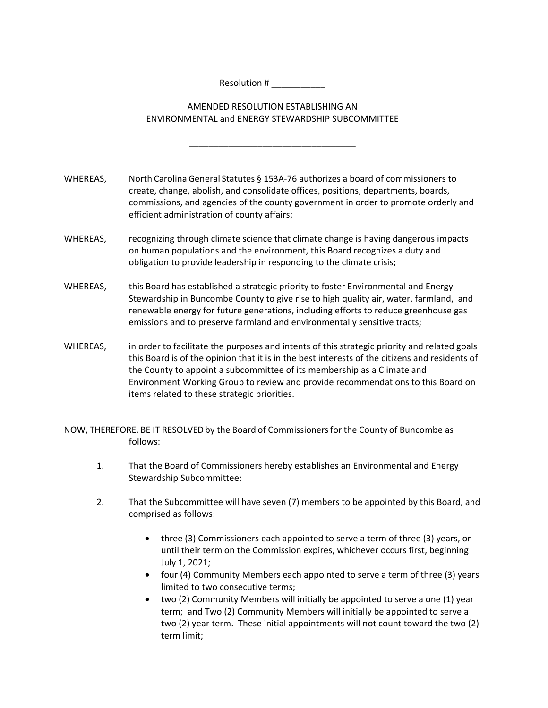Resolution # \_\_\_\_\_\_\_\_\_\_\_

## AMENDED RESOLUTION ESTABLISHING AN ENVIRONMENTAL and ENERGY STEWARDSHIP SUBCOMMITTEE

\_\_\_\_\_\_\_\_\_\_\_\_\_\_\_\_\_\_\_\_\_\_\_\_\_\_\_\_\_\_\_\_\_\_

WHEREAS, North Carolina General Statutes § 153A-76 authorizes a board of commissioners to create, change, abolish, and consolidate offices, positions, departments, boards, commissions, and agencies of the county government in order to promote orderly and efficient administration of county affairs;

- WHEREAS, recognizing through climate science that climate change is having dangerous impacts on human populations and the environment, this Board recognizes a duty and obligation to provide leadership in responding to the climate crisis;
- WHEREAS, this Board has established a strategic priority to foster Environmental and Energy Stewardship in Buncombe County to give rise to high quality air, water, farmland, and renewable energy for future generations, including efforts to reduce greenhouse gas emissions and to preserve farmland and environmentally sensitive tracts;
- WHEREAS, in order to facilitate the purposes and intents of this strategic priority and related goals this Board is of the opinion that it is in the best interests of the citizens and residents of the County to appoint a subcommittee of its membership as a Climate and Environment Working Group to review and provide recommendations to this Board on items related to these strategic priorities.

NOW, THEREFORE, BE IT RESOLVED by the Board of Commissioners for the County of Buncombe as follows:

- 1. That the Board of Commissioners hereby establishes an Environmental and Energy Stewardship Subcommittee;
- 2. That the Subcommittee will have seven (7) members to be appointed by this Board, and comprised as follows:
	- three (3) Commissioners each appointed to serve a term of three (3) years, or until their term on the Commission expires, whichever occurs first, beginning July 1, 2021;
	- four (4) Community Members each appointed to serve a term of three (3) years limited to two consecutive terms;
	- two (2) Community Members will initially be appointed to serve a one (1) year term; and Two (2) Community Members will initially be appointed to serve a two (2) year term. These initial appointments will not count toward the two (2) term limit;